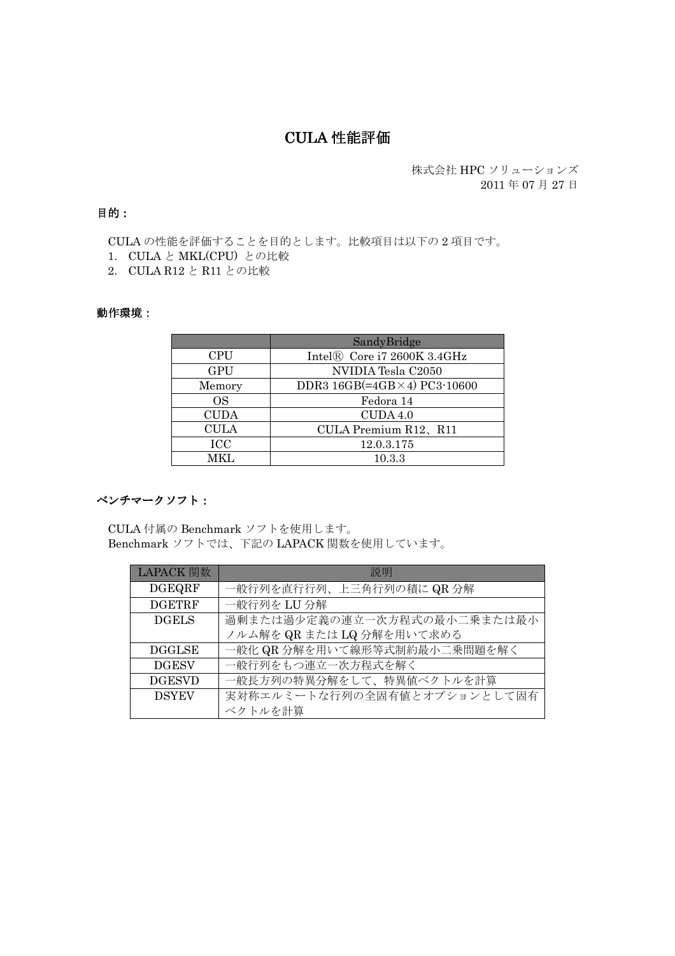# **CULA 性能評価**

株式会社 HPC ソリューションズ 2011年07月27日

### 目的:

CULAの性能を評価することを目的とします。比較項目は以下の2項目です。

- 1. CULA と MKL(CPU) との比較
- 2. CULA R12 と R11 との比較

#### 動作環境:

|             | SandyBridge                           |
|-------------|---------------------------------------|
| <b>CPU</b>  | Intel® Core i7 2600K 3.4GHz           |
| <b>GPU</b>  | NVIDIA Tesla C2050                    |
| Memory      | DDR3 $16GB (=4GB \times 4)$ PC3-10600 |
| OS.         | Fedora 14                             |
| <b>CUDA</b> | CUDA 4.0                              |
| <b>CULA</b> | CULA Premium R12、R11                  |
| <b>ICC</b>  | 12.0.3.175                            |
| MKL.        | 10.3.3                                |

#### ベンチマークソフト:

CULA 付属の Benchmark ソフトを使用します。 Benchmark ソフトでは、下記の LAPACK 関数を使用しています。

| LAPACK 関数     | 説明                           |
|---------------|------------------------------|
| <b>DGEQRF</b> | 一般行列を直行行列、上三角行列の積に QR 分解     |
| <b>DGETRF</b> | 一般行列を LU 分解                  |
| <b>DGELS</b>  | 過剰または過少定義の連立一次方程式の最小二乗または最小  |
|               | ノルム解を QR または LQ 分解を用いて求める    |
| <b>DGGLSE</b> | 一般化 QR 分解を用いて線形等式制約最小二乗問題を解く |
| <b>DGESV</b>  | 一般行列をもつ連立一次方程式を解く            |
| <b>DGESVD</b> | 一般長方列の特異分解をして、特異値ベクトルを計算     |
| <b>DSYEV</b>  | 実対称エルミートな行列の全固有値とオプションとして固有  |
|               | ベクトルを計算                      |